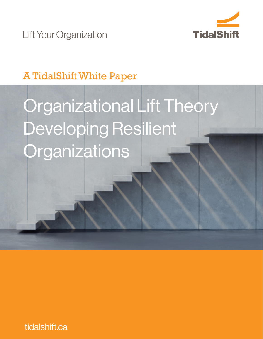

**Lift Your Organization** 

# A TidalShift White Paper

# Organizational Lift Theory Developing Resilient **Organizations**

tidalshift.ca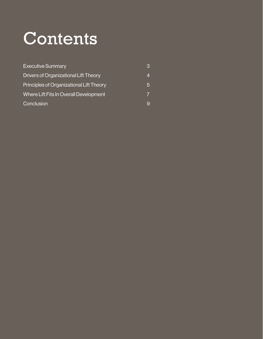# Contents

| <b>Executive Summary</b>                 | З |
|------------------------------------------|---|
| Drivers of Organizational Lift Theory    |   |
| Principles of Organizational Lift Theory | 5 |
| Where Lift Fits In Overall Development   |   |
| Conclusion                               |   |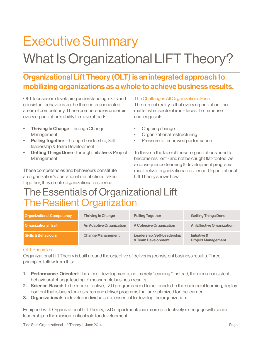# Executive Summary What Is Organizational LIFT Theory?

### Organizational Lift Theory (OLT) is an integrated approach to mobilizing organizations as a whole to achieve business results.

OLT focuses on developing understanding, skills and consistant behaviours in the three interconnected areas of competency. These competencies underpin every organization's ability to move ahead:

- **Thriving In Change through Change** Management
- Pulling Together through Leadership, Selfleadership & Team Development
- Getting Things Done through Initiative & Project Management

These competencies and behaviours constitute an organization's operational metabolism. Taken together, they create organizational resilience.

#### The Challenges All Organizations Face

The current reality is that every organization - no matter what sector it is in - faces the immense challenges of:

- Ongoing change
- Organizational restructuring
- Pressure for improved performance

To thrive in the face of these, organizations need to become resilient - and not be caught flat-footed. As a consequence, learning & development programs must deliver organizational resilience. Organizational Lift Theory shows how.

# The Essentials of Organizational Lift The Resilient Organization

| <b>Organizational Competency</b> | <b>Thriving In Change</b>       | <b>Pulling Together</b>                           | <b>Getting Things Done</b>                |
|----------------------------------|---------------------------------|---------------------------------------------------|-------------------------------------------|
| <b>Organizational Trait</b>      | <b>An Adaptive Organization</b> | <b>A Cohesive Organization</b>                    | <b>An Effective Organization</b>          |
| <b>Skills &amp; Behaviours</b>   | <b>Change Management</b>        | Leadership, Self-Leadership<br>& Team Development | Initiative &<br><b>Project Management</b> |

#### OLT Principles

Organizational Lift Theory is built around the objective of delivering consistent business results. Three principles follow from this:

- 1. Performance-Oriented: The aim of development is not merely "learning." Instead, the aim is consistent behavioural change leading to measurable business results.
- 2. Science-Based: To be more effective, L&D programs need to be founded in the science of learning, deploy content that is based on research and deliver programs that are optimized for the learner.
- **3. Organizational:** To develop individuals, it is essential to develop the organization.

Equipped with Organizational Lift Theory, L&D departments can more productively re-engage with senior leadership in the mission-critical role for development.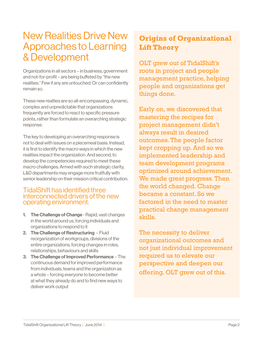### New Realities Drive New Approaches to Learning & Development

Organizations in all sectors – in business, government and not-for-profit – are being buffeted by "the new realities." Few if any are untouched. Or can confidently remain so.

These new realties are so all-encompassing, dynamic, complex and unpredictable that organizations frequently are forced to react to specific pressure points, rather than formulate an overarching strategic response.

The key to developing an overarching response is not to deal with issues on a piecemeal basis. Instead, it is first to identify the macro ways in which the new realities impact the organization. And second, to develop the competencies required to meet these macro challenges. Armed with such strategic clarity, L&D departments may engage more fruitfully with senior leadership on their mission critical contribution.

### TidalShift has identified three interconnected drivers of the new operating environment:

- **1. The Challenge of Change Rapid, vast changes** in the world around us, forcing individuals and organizations to respond to it
- 2. The Challenge of Restructuring Fluid reorganization of workgroups, divisions of the entire organizations, forcing changes in roles, relationships, behaviours and skills
- 3. The Challenge of Improved Performance The continuous demand for improved performance from individuals, teams and the organization as a whole – forcing everyone to become better at what they already do and to find new ways to deliver work output

### **Origins of Organizational Lift Theory**

OLT grew out of TidalShift's roots in project and people management practice, helping people and organizations get things done.

Early on, we discovered that mastering the recipes for project management didn't always result in desired outcomes. The people factor kept cropping up. And so we implemented leadership and team development programs optimized around achievement. We made great progress. Then the world changed. Change became a constant. So we factored in the need to master practical change management skills.

The necessity to deliver organizational outcomes and not just individual improvement required us to elevate our perspective and deepen our offering. OLT grew out of this.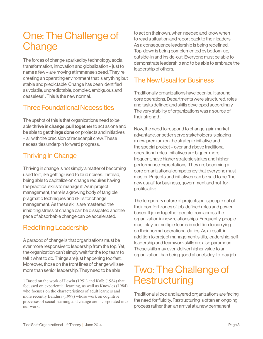# One: The Challenge of **Change**

The forces of change sparked by technology, social transformation, innovation and globalization – just to name a few – are moving at immense speed. They're creating an operating environment that is anything but stable and predictable. Change has been identified as volatile, unpredictable, complex, ambiguous and ceaseless<sup>1</sup>. This is the new normal.

### Three Foundational Necessities

The upshot of this is that organizations need to be able thrive in change, pull together to act as one and be able to **get things done** on projects and initiatives – all with the precision of racecar pit crew. These necessities underpin forward progress.

### Thriving In Change

Thriving in change is not simply a matter of becoming used to it, like getting used to loud noises. Instead, being able to capitalize on change requires having the practical skills to manage it. As in project management, there is a growing body of tangible, pragmatic techniques and skills for change management. As these skills are mastered, the inhibiting stress of change can be dissipated and the pace of absorbable change can be accelerated.

### Redefining Leadership

A paradox of change is that organizations must be ever more responsive to leadership from the top. Yet, the organization can't simply wait for the top team to tell it what to do. Things are just happening too fast. Moreover, those on the front lines of change will see more than senior leadership. They need to be able

to act on their own, when needed and know when to read a situation and report back to their leaders. As a consequence leadership is being redefined. Top-down is being complemented by bottom-up, outside-in and inside-out. Everyone must be able to demonstrate leadership and to be able to embrace the leadership of others.

### The New Usual for Business

Traditionally organizations have been built around core operations. Departments were structured, roles and tasks defined and skills developed accordingly. The very stability of organizations was a source of their strength.

Now, the need to respond to change, gain market advantage, or better serve stakeholders is placing a new premium on the strategic initiative and the special project – over and above traditional operational roles. Initiatives are bigger, more frequent, have higher strategic stakes and higher performance expectations. They are becoming a core organizational competency that everyone must master. Projects and initiatives can be said to be "the new usual" for business, government and not-forprofits alike.

The temporary nature of projects pulls people out of their comfort zones of job-defined roles and power bases. It joins together people from across the organization in new relationships. Frequently, people must play on multiple teams in addition to carrying on their normal operational duties. As a result, in addition to project management skills, leadership, selfleadership and teamwork skills are also paramount. These skills may even deliver higher value to an organization than being good at one's day-to-day job.

## Two: The Challenge of **Restructuring**

Traditional siloed and layered organizations are facing the need for fluidity. Restructuring is often an ongoing process rather than an arrival at a new permanent

<sup>1</sup> Based on the work of Lewin (1951) and Kolb (1984) that focussed on experiential learning, as well as Knowles (1984) who focuses on the characteristincs of adult learners and more recently Bandura (1997) whose work on cognitive processes of social learning and change are incorporated into our work.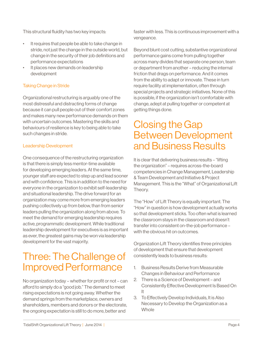This structural fluidity has two key impacts:

- It requires that people be able to take change in stride, not just the change in the outside world, but change in the security of their job definitions and performance expectations
- It places new demands on leadership development

### Taking Change in Stride

Organizational restructuring is arguably one of the most distressful and distracting forms of change because it can pull people out of their comfort zones and makes many new performance demands on them with uncertain outcomes. Mastering the skills and behaviours of resilience is key to being able to take such changes in stride.

#### Leadership Development

One consequence of the restructuring organization is that there is simply less mentor-time available for developing emerging leaders. At the same time, younger staff are expected to step up and lead sooner and with confidence. This is in addition to the need for everyone in the organization to exhibit self-leadership and situational leadership. The drive forward for an organization may come more from emerging leaders pushing collectively up from below, than from senior leaders pulling the organization along from above. To meet the demand for emerging leadership requires active, programmatic development. While traditional leadership development for executives is as important as ever, the greatest gains may be won via leadership development for the vast majority.

## Three: The Challenge of Improved Performance

No organization today – whether for profit or not – can afford to simply do a "good job." The demand to meet rising expectations is not going away. Whether the demand springs from the marketplace, owners and shareholders, members and donors or the electorate, the ongoing expectation is still to do more, better and

faster with less. This is continuous improvement with a vengeance.

Beyond blunt cost cutting, substantive organizational performance gains come from pulling together across many divides that separate one person, team or department from another – reducing the internal friction that drags on performance. And it comes from the ability to adapt or innovate. These in turn require facility at implementation, often through special projects and strategic initiatives. None of this is possible, if the organization isn't comfortable with change, adept at pulling together or competent at getting things done.

### Closing the Gap Between Development and Business Results

It is clear that delivering business results – "lifting the organization" – requires across-the-board competencies in Change Management, Leadership & Team Development and Initiative & Project Management. This is the "What" of Organizational Lift Theory.

The "How" of Lift Theory is equally important. The "How" in question is how development actually works so that development sticks. Too often what is learned the classroom stays in the classroom and doesn't transfer into consistent on-the-job performance – with the obvious hit on outcomes.

Organization Lift Theory identifies three principles of development that ensure that development consistently leads to business results:

- 1. Business Results Derive from Measurable Changes in Behaviour and Performance
- 2. There is a Science of Development and Consistently Effective Development Is Based On It
- 3. To Effectively Develop Individuals, It is Also Necessary to Develop the Organization as a **Whole**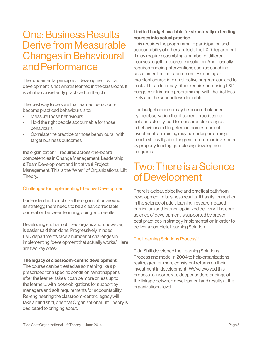### One: Business Results Derive from Measurable Changes in Behavioural and Performance

The fundamental principle of development is that development is not what is learned in the classroom. It is what is consistently practiced on the job.

The best way to be sure that learned behaviours become practiced behaviours is to:

- Measure those behaviours
- Hold the right people accountable for those behaviours
- Correlate the practice of those behaviours with target business outcomes

the organization" – requires across-the-board competencies in Change Management, Leadership & Team Development and Initiative & Project Management. This is the "What" of Organizational Lift Theory.

### Challenges for Implementing Effective Development

For leadership to mobilize the organization around its strategy, there needs to be a clear, correctable correlation between learning, doing and results.

Developing such a mobilized organization, however, is easier said than done. Progressively minded L&D departments face a number of challenges in implementing "development that actually works." Here are two key ones:

#### The legacy of classroom-centric development.

The course can be treated as something like a pill, prescribed for a specific condition. What happens after the learner takes it can be more or less up to the learner… with loose obligations for support by managers and soft requirements for accountability. Re-engineering the classroom-centric legacy will take a mind shift, one that Organizational Lift Theory is dedicated to bringing about.

#### Limited budget available for structurally extending courses into actual practice.

This requires the programmatic participation and accountability of others outside the L&D department. It may require assembling a number of different courses together to create a solution. And it usually requires ongoing interventions such as coaching, sustainment and measurement. Extending an excellent course into an effective program can add to costs. This in turn may either require increasing L&D budgets or trimming programming, with the first less likely and the second less desirable.

The budget concern may be counterbalanced by the observation that if current practices do not consistently lead to measureable changes in behaviour and targeted outcomes, current investments in training may be underperforming. Leadership will gain a far greater return on investment by properly funding gap-closing development programs.

### Two: There is a Science of Development

There is a clear, objective and practical path from development to business results. It has its foundation in the science of adult learning, research-based curriculum and learner-optimized delivery. The core science of development is supported by proven best practices in strategy implementation in order to deliver a complete Learning Solution.

### The Learning Solutions Process™

TidalShift developed the Learning Solutions Process and model in 2004 to help organizations realize greater, more consistent returns on their investment in development. We've evolved this process to incorporate deeper understandings of the linkage between development and results at the organizational level.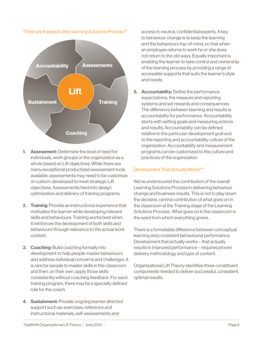

There are 5 steps to the Learning Solutions Process™

- 1. Assessment: Determine the level of need for individuals, work groups or the organization as a whole based on Lift objectives. While there are many exceptional productized assessment tools available, assessments may need to be customize or custom-developed to meet strategic Lift objectives. Assessments feed into design, optimization and delivery of training programs.
- 2. Training: Provide an instructional experience that motivates the learner while developing relevant skills and behaviours. Training works best when it reinforces the development of both skills and behaviours through relevance to the actual work context.
- **3. Coaching: Build coaching formally into** development to help people master behaviours and address individual concerns and challenges. It is rare for people to master skills in the classroom and then, on their own, apply those skills consistently without coaching feedback. For each training program, there may be a specially defined role for the coach.
- 4. Sustainment: Provide ongoing learner directed support such as: exercises; reference and instructional materials, self-assessments and

access to neutral, confidential experts. A key to behaviour change is to keep the learning and the behaviours top-of-mind, so that when an employee returns to work he or she does not return to the old ways. Equally important is enabling the learner to take control and ownership of the learning process by providing a range of accessible supports that suits the learner's style and needs.

5. Accountability: Define the performance expectations, the measure and reporting systems and set rewards and consequences. The difference between learning and results is accountability for performance. Accountability starts with setting goals and measuring actions and results. Accountability can be defined relative to the particular development goal and to the reporting and accountability culture of the organization. Accountability and measurement programs can be customized to the culture and practices of the organization.

#### Development That Actually Works<sup>™</sup>

We've underscored the contribution of the overall Learning Solutions Process in delivering behaviour change and business results. This is not to play down the decisive, central contribution of what goes on in the classroom at the Training stage of the Learning Solutions Process. What goes on in the classroom is the seed from which everything grows.

There is a formidable difference between conceptual learning and consistent behavioural performance. Development that actually works – that actually results in improved performance – requires proven delivery methodology and type of content.

Organizational Lift Theory identifies three constituent components needed to deliver successful, consistent, optimal results.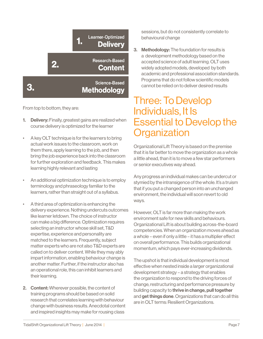

From top to bottom, they are:

- 1. Delivery: Finally, greatest gains are realized when course delivery is optimized for the learner
- A key OLT technique is for the learners to bring actual work issues to the classroom, work on them there, apply learning to the job, and then bring the job experience back into the classroom for further exploration and feedback. This makes learning highly relevant and lasting
- An additional optimization technique is to employ terminology and phraseology familiar to the learners, rather than straight out of a syllabus.
- A third area of optimization is enhancing the delivery experience. Nothing undercuts outcomes like learner letdown. The choice of instructor can make a big difference. Optimization requires selecting an instructor whose skill set, T&D expertise, experience and personality are matched to the learners. Frequently, subject matter experts who are not also T&D experts are called on to deliver content. While they may ably impart information, enabling behaviour change is another matter. Further, if the instructor also has an operational role, this can inhibit learners and their learning.
- 2. Content: Wherever possible, the content of training programs should be based on solid research that correlates learning with behaviour change with business results. Anecdotal content and inspired insights may make for rousing class

sessions, but do not consistently correlate to behavioural change

3. Methodology: The foundation for results is a development methodology based on the accepted science of adult learning. OLT uses widely adopted models, developed by both academic and professional association standards. Programs that do not follow scientific models cannot be relied on to deliver desired results

### Three: To Develop Individuals, It Is Essential to Develop the **Organization**

Organizational Lift Theory is based on the premise that it is far better to move the organization as a whole a little ahead, than it is to move a few star performers or senior executives way ahead.

Any progress an individual makes can be undercut or stymied by the intransigence of the whole. It's a truism that if you put a changed person into an unchanged environment, the individual will soon revert to old ways.

However, OLT is far more than making the work environment safe for new skills and behaviours. Organizational Lift is about building across-the-board competencies. When an organization moves ahead as a whole – even if only a little – it has a multiplier effect on overall performance. This builds organizational momentum, which pays ever-increasing dividends.

The upshot is that individual development is most effective when nested inside a larger organizational development strategy – a strategy that enables the organization to respond to the driving forces of change, restructuring and performance pressure by building capacity to thrive in change, pull together and get things done. Organizations that can do all this are in OLT terms: Resilient Organizations.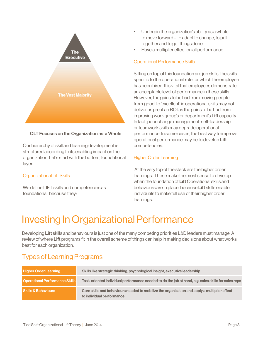

#### OLT Focuses on the Organization as a Whole

Our hierarchy of skill and learning development is structured according to its enabling impact on the organization. Let's start with the bottom, foundational layer.

#### Organizational Lift Skills

We define LIFT skills and competencies as foundational, because they:

- Underpin the organization's ability as a whole to move forward – to adapt to change, to pull together and to get things done
- Have a multiplier effect on all performance

#### Operational Performance Skills

Sitting on top of this foundation are job skills, the skills specific to the operational role for which the employee has been hired. It is vital that employees demonstrate an acceptable level of performance in these skills. However, the gains to be had from moving people from 'good' to 'excellent' in operational skills may not deliver as great an ROI as the gains to be had from improving work group's or department's Lift capacity. In fact, poor change management, self-leadership or teamwork skills may degrade operational performance. In some cases, the best way to improve operational performance may be to develop Lift competencies.

#### Higher Order Learning

 At the very top of the stack are the higher order learnings. These make the most sense to develop when the foundation of Lift Operational skills and behaviours are in place, because Lift skills enable individuals to make full use of their higher order learnings.

## Investing In Organizational Performance

Developing Lift skills and behaviours is just one of the many competing priorities L&D leaders must manage. A review of where Lift programs fit in the overall scheme of things can help in making decisions about what works best for each organization.

### Types of Learning Programs

| <b>Higher Order Learning</b>          | Skills like strategic thinking, psychological insight, executive leadership                                               |
|---------------------------------------|---------------------------------------------------------------------------------------------------------------------------|
| <b>Operational Performance Skills</b> | Task-oriented individual performance needed to do the job at hand, e.g. sales skills for sales reps                       |
| <b>Skills &amp; Behaviours</b>        | Core skills and behaviours needed to mobilize the organization and apply a multiplier effect<br>to individual performance |